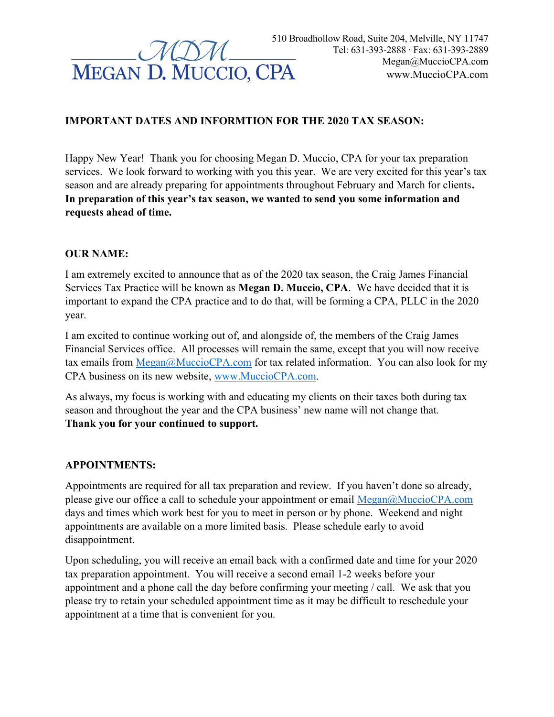

# IMPORTANT DATES AND INFORMTION FOR THE 2020 TAX SEASON:

Happy New Year! Thank you for choosing Megan D. Muccio, CPA for your tax preparation services. We look forward to working with you this year. We are very excited for this year's tax season and are already preparing for appointments throughout February and March for clients. In preparation of this year's tax season, we wanted to send you some information and requests ahead of time.

#### OUR NAME:

I am extremely excited to announce that as of the 2020 tax season, the Craig James Financial Services Tax Practice will be known as Megan D. Muccio, CPA. We have decided that it is important to expand the CPA practice and to do that, will be forming a CPA, PLLC in the 2020 year.

I am excited to continue working out of, and alongside of, the members of the Craig James Financial Services office. All processes will remain the same, except that you will now receive tax emails from Megan@MuccioCPA.com for tax related information. You can also look for my CPA business on its new website, www.MuccioCPA.com.

As always, my focus is working with and educating my clients on their taxes both during tax season and throughout the year and the CPA business' new name will not change that. Thank you for your continued to support.

#### APPOINTMENTS:

Appointments are required for all tax preparation and review. If you haven't done so already, please give our office a call to schedule your appointment or email Megan@MuccioCPA.com days and times which work best for you to meet in person or by phone. Weekend and night appointments are available on a more limited basis. Please schedule early to avoid disappointment.

Upon scheduling, you will receive an email back with a confirmed date and time for your 2020 tax preparation appointment. You will receive a second email 1-2 weeks before your appointment and a phone call the day before confirming your meeting / call. We ask that you please try to retain your scheduled appointment time as it may be difficult to reschedule your appointment at a time that is convenient for you.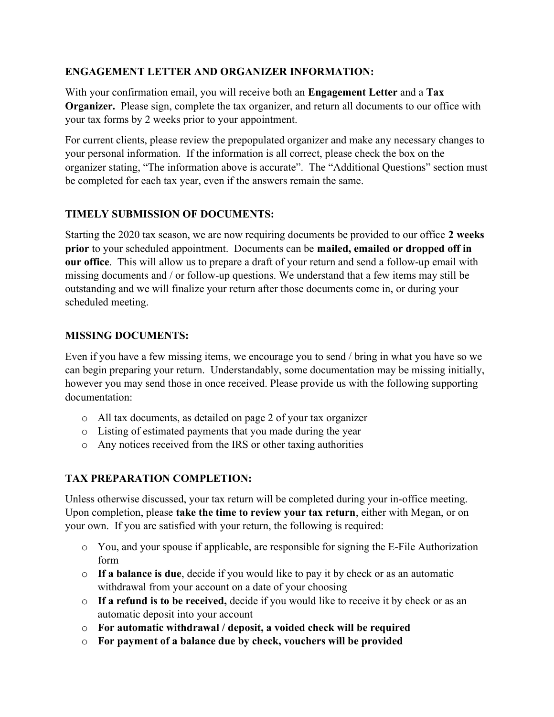## ENGAGEMENT LETTER AND ORGANIZER INFORMATION:

With your confirmation email, you will receive both an **Engagement Letter** and a **Tax** Organizer. Please sign, complete the tax organizer, and return all documents to our office with your tax forms by 2 weeks prior to your appointment.

For current clients, please review the prepopulated organizer and make any necessary changes to your personal information. If the information is all correct, please check the box on the organizer stating, "The information above is accurate". The "Additional Questions" section must be completed for each tax year, even if the answers remain the same.

## TIMELY SUBMISSION OF DOCUMENTS:

Starting the 2020 tax season, we are now requiring documents be provided to our office 2 weeks prior to your scheduled appointment. Documents can be mailed, emailed or dropped off in our office. This will allow us to prepare a draft of your return and send a follow-up email with missing documents and / or follow-up questions. We understand that a few items may still be outstanding and we will finalize your return after those documents come in, or during your scheduled meeting.

### MISSING DOCUMENTS:

Even if you have a few missing items, we encourage you to send / bring in what you have so we can begin preparing your return. Understandably, some documentation may be missing initially, however you may send those in once received. Please provide us with the following supporting documentation:

- o All tax documents, as detailed on page 2 of your tax organizer
- o Listing of estimated payments that you made during the year
- o Any notices received from the IRS or other taxing authorities

# TAX PREPARATION COMPLETION:

Unless otherwise discussed, your tax return will be completed during your in-office meeting. Upon completion, please take the time to review your tax return, either with Megan, or on your own. If you are satisfied with your return, the following is required:

- $\circ$  You, and your spouse if applicable, are responsible for signing the E-File Authorization form
- $\circ$  If a balance is due, decide if you would like to pay it by check or as an automatic withdrawal from your account on a date of your choosing
- o If a refund is to be received, decide if you would like to receive it by check or as an automatic deposit into your account
- o For automatic withdrawal / deposit, a voided check will be required
- o For payment of a balance due by check, vouchers will be provided